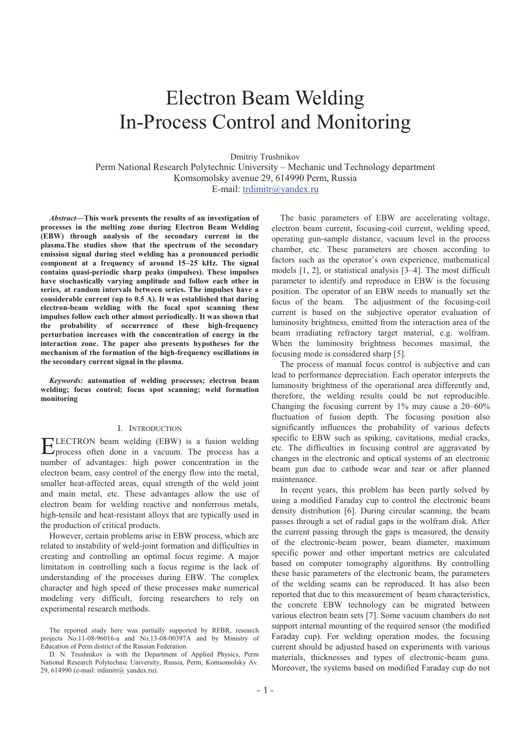# Electron Beam Welding In-Process Control and Monitoring

Dmitriy Trushnikov

Perm National Research Polytechnic University – Mechanic und Technology department Komsomolsky avenue 29, 614990 Perm, Russia E-mail: trdimitr@yandex.ru

*Abstract***-This work presents the results of an investigation of processes in the melting zone during Electron Beam Welding (EBW) through analysis of the secondary current in the plasma.The studies show that the spectrum of the secondary emission signal during steel welding has a pronounced periodic component at a frequency of around 1525 kHz. The signal contains quasi-periodic sharp peaks (impulses). These impulses have stochastically varying amplitude and follow each other in series, at random intervals between series. The impulses have a considerable current (up to 0.5 A). It was established that during electron-beam welding with the focal spot scanning these impulses follow each other almost periodically. It was shown that the probability of occurrence of these high-frequency perturbation increases with the concentration of energy in the interaction zone. The paper also presents hypotheses for the mechanism of the formation of the high-frequency oscillations in the secondary current signal in the plasma.** 

*Keywords:* **automation of welding processes; electron beam welding; focus control; focus spot scanning; weld formation monitoring** 

## I. INTRODUCTION

LECTRON beam welding (EBW) is a fusion welding ELECTRON beam welding (EBW) is a fusion welding<br>process often done in a vacuum. The process has a number of advantages: high power concentration in the electron beam, easy control of the energy flow into the metal, smaller heat-affected areas, equal strength of the weld joint and main metal, etc. These advantages allow the use of electron beam for welding reactive and nonferrous metals, high-tensile and heat-resistant alloys that are typically used in the production of critical products.

However, certain problems arise in EBW process, which are related to instability of weld-joint formation and difficulties in creating and controlling an optimal focus regime. A major limitation in controlling such a focus regime is the lack of understanding of the processes during EBW. The complex character and high speed of these processes make numerical modeling very difficult, forcing researchers to rely on experimental research methods.

D. N. Trushnikov is with the Department of Applied Physics, Perm National Research Polytechnic University, Russia, Perm, Komsomolsky Av. 29, 614990 (e-mail: trdimitr@ yandex.ru).

The basic parameters of EBW are accelerating voltage, electron beam current, focusing-coil current, welding speed, operating gun-sample distance, vacuum level in the process chamber, etc. These parameters are chosen according to factors such as the operator's own experience, mathematical models [1, 2], or statistical analysis [3–4]. The most difficult parameter to identify and reproduce in EBW is the focusing position. The operator of an EBW needs to manually set the focus of the beam. The adjustment of the focusing-coil current is based on the subjective operator evaluation of luminosity brightness, emitted from the interaction area of the beam irradiating refractory target material, e.g. wolfram. When the luminosity brightness becomes maximal, the focusing mode is considered sharp [5].

The process of manual focus control is subjective and can lead to performance depreciation. Each operator interprets the luminosity brightness of the operational area differently and, therefore, the welding results could be not reproducible. Changing the focusing current by 1% may cause a 20–60% fluctuation of fusion depth. The focusing position also significantly influences the probability of various defects specific to EBW such as spiking, cavitations, medial cracks, etc. The difficulties in focusing control are aggravated by changes in the electronic and optical systems of an electronic beam gun due to cathode wear and tear or after planned maintenance.

In recent years, this problem has been partly solved by using a modified Faraday cup to control the electronic beam density distribution [6]. During circular scanning, the beam passes through a set of radial gaps in the wolfram disk. After the current passing through the gaps is measured, the density of the electronic-beam power, beam diameter, maximum specific power and other important metrics are calculated based on computer tomography algorithms. By controlling these basic parameters of the electronic beam, the parameters of the welding seams can be reproduced. It has also been reported that due to this measurement of beam characteristics, the concrete EBW technology can be migrated between various electron beam sets [7]. Some vacuum chambers do not support internal mounting of the required sensor (the modified Faraday cup). For welding operation modes, the focusing current should be adjusted based on experiments with various materials, thicknesses and types of electronic-beam guns. Moreover, the systems based on modified Faraday cup do not

The reported study here was partially supported by RFBR, research projects No.11-08-96016-a and No.13-08-00397A and by Ministry of Education of Perm district of the Russian Federation.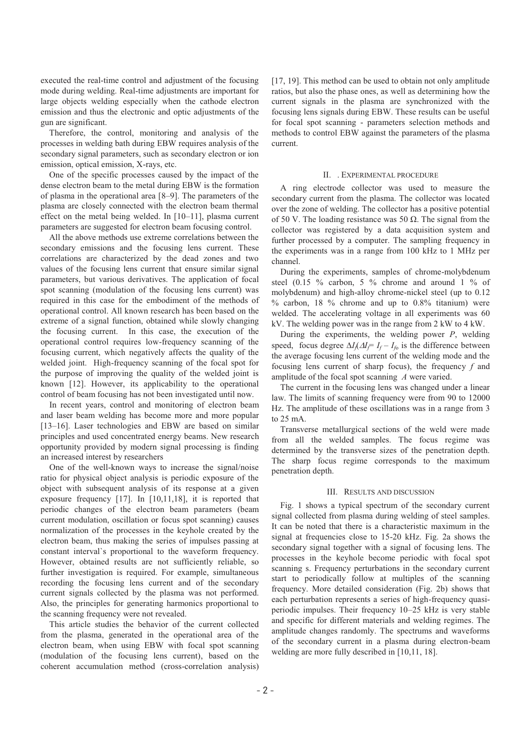executed the real-time control and adjustment of the focusing mode during welding. Real-time adjustments are important for large objects welding especially when the cathode electron emission and thus the electronic and optic adjustments of the gun are significant.

Therefore, the control, monitoring and analysis of the processes in welding bath during EBW requires analysis of the secondary signal parameters, such as secondary electron or ion emission, optical emission, X-rays, etc.

One of the specific processes caused by the impact of the dense electron beam to the metal during EBW is the formation of plasma in the operational area [8–9]. The parameters of the plasma are closely connected with the electron beam thermal effect on the metal being welded. In [10–11], plasma current parameters are suggested for electron beam focusing control.

All the above methods use extreme correlations between the secondary emissions and the focusing lens current. These correlations are characterized by the dead zones and two values of the focusing lens current that ensure similar signal parameters, but various derivatives. The application of focal spot scanning (modulation of the focusing lens current) was required in this case for the embodiment of the methods of operational control. All known research has been based on the extreme of a signal function, obtained while slowly changing the focusing current. In this case, the execution of the operational control requires low-frequency scanning of the focusing current, which negatively affects the quality of the welded joint. High-frequency scanning of the focal spot for the purpose of improving the quality of the welded joint is known [12]. However, its applicability to the operational control of beam focusing has not been investigated until now.

In recent years, control and monitoring of electron beam and laser beam welding has become more and more popular [13–16]. Laser technologies and EBW are based on similar principles and used concentrated energy beams. New research opportunity provided by modern signal processing is finding an increased interest by researchers

One of the well-known ways to increase the signal/noise ratio for physical object analysis is periodic exposure of the object with subsequent analysis of its response at a given exposure frequency [17]. In [10,11,18], it is reported that periodic changes of the electron beam parameters (beam current modulation, oscillation or focus spot scanning) causes normalization of the processes in the keyhole created by the electron beam, thus making the series of impulses passing at constant interval`s proportional to the waveform frequency. However, obtained results are not sufficiently reliable, so further investigation is required. For example, simultaneous recording the focusing lens current and of the secondary current signals collected by the plasma was not performed. Also, the principles for generating harmonics proportional to the scanning frequency were not revealed.

This article studies the behavior of the current collected from the plasma, generated in the operational area of the electron beam, when using EBW with focal spot scanning (modulation of the focusing lens current), based on the coherent accumulation method (cross-correlation analysis) [17, 19]. This method can be used to obtain not only amplitude ratios, but also the phase ones, as well as determining how the current signals in the plasma are synchronized with the focusing lens signals during EBW. These results can be useful for focal spot scanning - parameters selection methods and methods to control EBW against the parameters of the plasma current.

#### II. . EXPERIMENTAL PROCEDURE

A ring electrode collector was used to measure the secondary current from the plasma. The collector was located over the zone of welding. The collector has a positive potential of 50 V. The loading resistance was 50  $\Omega$ . The signal from the collector was registered by a data acquisition system and further processed by a computer. The sampling frequency in the experiments was in a range from 100 kHz to 1 MHz per channel.

During the experiments, samples of chrome-molybdenum steel (0.15  $\%$  carbon, 5  $\%$  chrome and around 1  $\%$  of molybdenum) and high-alloy chrome-nickel steel (up to 0.12  $%$  carbon, 18  $%$  chrome and up to 0.8% titanium) were welded. The accelerating voltage in all experiments was 60 kV. The welding power was in the range from 2 kW to 4 kW.

During the experiments, the welding power *P*, welding speed, focus degree  $\Delta I_f \Delta I_f = I_f - I_{f0}$  is the difference between the average focusing lens current of the welding mode and the focusing lens current of sharp focus), the frequency *f* and amplitude of the focal spot scanning *A* were varied.

The current in the focusing lens was changed under a linear law. The limits of scanning frequency were from 90 to 12000 Hz. The amplitude of these oscillations was in a range from 3 to 25 mA.

Transverse metallurgical sections of the weld were made from all the welded samples. The focus regime was determined by the transverse sizes of the penetration depth. The sharp focus regime corresponds to the maximum penetration depth.

#### III. RESULTS AND DISCUSSION

Fig. 1 shows a typical spectrum of the secondary current signal collected from plasma during welding of steel samples. It can be noted that there is a characteristic maximum in the signal at frequencies close to 15-20 kHz. Fig. 2a shows the secondary signal together with a signal of focusing lens. The processes in the keyhole become periodic with focal spot scanning s. Frequency perturbations in the secondary current start to periodically follow at multiples of the scanning frequency. More detailed consideration (Fig. 2b) shows that each perturbation represents a series of high-frequency quasiperiodic impulses. Their frequency 10–25 kHz is very stable and specific for different materials and welding regimes. The amplitude changes randomly. The spectrums and waveforms of the secondary current in a plasma during electron-beam welding are more fully described in [10,11, 18].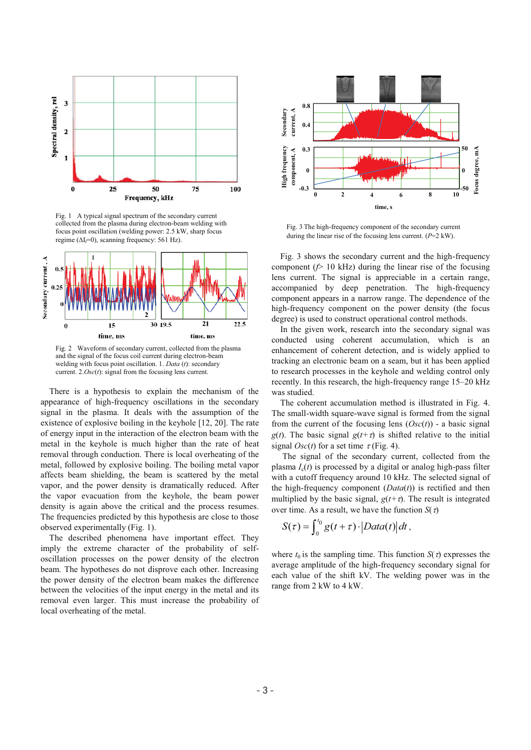

Fig. 1 A typical signal spectrum of the secondary current collected from the plasma during electron-beam welding with focus point oscillation (welding power: 2.5 kW, sharp focus regime ( $\Delta I_f=0$ ), scanning frequency: 561 Hz).



Fig. 2 Waveform of secondary current, collected from the plasma and the signal of the focus coil current during electron-beam welding with focus point oscillation. 1. *Data* (*t*): secondary current. 2.*Osc*(*t*): signal from the focusing lens current.

There is a hypothesis to explain the mechanism of the appearance of high-frequency oscillations in the secondary signal in the plasma. It deals with the assumption of the existence of explosive boiling in the keyhole [12, 20]. The rate of energy input in the interaction of the electron beam with the metal in the keyhole is much higher than the rate of heat removal through conduction. There is local overheating of the metal, followed by explosive boiling. The boiling metal vapor affects beam shielding, the beam is scattered by the metal vapor, and the power density is dramatically reduced. After the vapor evacuation from the keyhole, the beam power density is again above the critical and the process resumes. The frequencies predicted by this hypothesis are close to those observed experimentally (Fig. 1).

The described phenomena have important effect. They imply the extreme character of the probability of selfoscillation processes on the power density of the electron beam. The hypotheses do not disprove each other. Increasing the power density of the electron beam makes the difference between the velocities of the input energy in the metal and its removal even larger. This must increase the probability of local overheating of the metal.



Fig. 3 The high-frequency component of the secondary current during the linear rise of the focusing lens current. (*P*=2 kW).

Fig. 3 shows the secondary current and the high-frequency component  $(f$ > 10 kHz) during the linear rise of the focusing lens current. The signal is appreciable in a certain range, accompanied by deep penetration. The high-frequency component appears in a narrow range. The dependence of the high-frequency component on the power density (the focus degree) is used to construct operational control methods.

In the given work, research into the secondary signal was conducted using coherent accumulation, which is an enhancement of coherent detection, and is widely applied to tracking an electronic beam on a seam, but it has been applied to research processes in the keyhole and welding control only recently. In this research, the high-frequency range 15–20 kHz was studied.

The coherent accumulation method is illustrated in Fig. 4. The small-width square-wave signal is formed from the signal from the current of the focusing lens  $(Osc(t))$  - a basic signal *g*(*t*). The basic signal  $g(t+\tau)$  is shifted relative to the initial signal  $Osc(t)$  for a set time  $\tau$  (Fig. 4).

 The signal of the secondary current, collected from the plasma  $I_c(t)$  is processed by a digital or analog high-pass filter with a cutoff frequency around 10 kHz. The selected signal of the high-frequency component (*Data*(*t*)) is rectified and then multiplied by the basic signal,  $g(t+\tau)$ . The result is integrated over time. As a result, we have the function  $S(\tau)$ 

$$
S(\tau) = \int_0^{t_0} g(t + \tau) \cdot |Data(t)| dt,
$$

where  $t_0$  is the sampling time. This function  $S(\tau)$  expresses the average amplitude of the high-frequency secondary signal for each value of the shift kV. The welding power was in the range from 2 kW to 4 kW.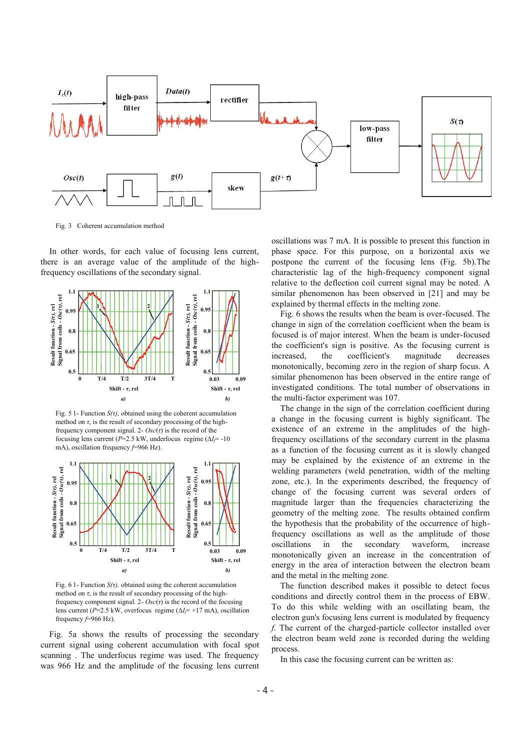

Fig. 3 Coherent accumulation method

In other words, for each value of focusing lens current, there is an average value of the amplitude of the highfrequency oscillations of the secondary signal.



Fig. 5 1- Function  $S(\tau)$ , obtained using the coherent accumulation method on  $\tau$ , is the result of secondary processing of the highfrequency component signal. 2-  $Osc(\tau)$  is the record of the focusing lens current ( $P=2.5$  kW, underfocus regime ( $\Delta l = -10$ mA), oscillation frequency *f*=966 Hz).



Fig. 6 1- Function  $S(\tau)$ , obtained using the coherent accumulation method on  $\tau$ , is the result of secondary processing of the highfrequency component signal. 2-  $Osc(\tau)$  is the record of the focusing lens current ( $P=2.5$  kW, overfocus regime ( $\Delta I = +17$  mA), oscillation frequency *f*=966 Hz).

Fig. 5a shows the results of processing the secondary current signal using coherent accumulation with focal spot scanning . The underfocus regime was used. The frequency was 966 Hz and the amplitude of the focusing lens current oscillations was 7 mA. It is possible to present this function in phase space. For this purpose, on a horizontal axis we postpone the current of the focusing lens (Fig. 5b).The characteristic lag of the high-frequency component signal relative to the deflection coil current signal may be noted. A similar phenomenon has been observed in [21] and may be explained by thermal effects in the melting zone.

Fig. 6 shows the results when the beam is over-focused. The change in sign of the correlation coefficient when the beam is focused is of major interest. When the beam is under-focused the coefficient's sign is positive. As the focusing current is increased, the coefficient's magnitude decreases monotonically, becoming zero in the region of sharp focus. A similar phenomenon has been observed in the entire range of investigated conditions. The total number of observations in the multi-factor experiment was 107.

The change in the sign of the correlation coefficient during a change in the focusing current is highly significant. The existence of an extreme in the amplitudes of the highfrequency oscillations of the secondary current in the plasma as a function of the focusing current as it is slowly changed may be explained by the existence of an extreme in the welding parameters (weld penetration, width of the melting zone, etc.). In the experiments described, the frequency of change of the focusing current was several orders of magnitude larger than the frequencies characterizing the geometry of the melting zone. The results obtained confirm the hypothesis that the probability of the occurrence of highfrequency oscillations as well as the amplitude of those oscillations in the secondary waveform, increase monotonically given an increase in the concentration of energy in the area of interaction between the electron beam and the metal in the melting zone.

The function described makes it possible to detect focus conditions and directly control them in the process of EBW. To do this while welding with an oscillating beam, the electron gun's focusing lens current is modulated by frequency *f*. The current of the charged-particle collector installed over the electron beam weld zone is recorded during the welding process.

In this case the focusing current can be written as: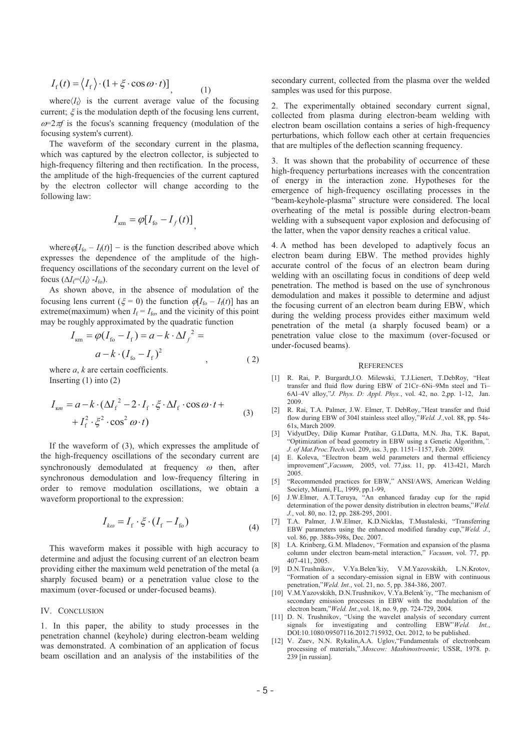$$
I_{\rm f}(t) = \langle I_{\rm f} \rangle \cdot (1 + \xi \cdot \cos \omega \cdot t) \bigg] \tag{1}
$$

where $\langle I_f \rangle$  is the current average value of the focusing current;  $\xi$  is the modulation depth of the focusing lens current,  $\omega = 2\pi f$  is the focus's scanning frequency (modulation of the focusing system's current).

The waveform of the secondary current in the plasma, which was captured by the electron collector, is subjected to high-frequency filtering and then rectification. In the process, the amplitude of the high-frequencies of the current captured by the electron collector will change according to the following law:

$$
I_{\rm km} = \varphi[I_{\rm fo} - I_f(t)],
$$

where  $\varphi[I_{\rm fo} - I_{\rm f}(t)]$  – is the function described above which expresses the dependence of the amplitude of the highfrequency oscillations of the secondary current on the level of focus  $(\Delta I_f = \langle I_f \rangle - I_{fo})$ .

As shown above, in the absence of modulation of the focusing lens current ( $\xi = 0$ ) the function  $\varphi[I_{\text{fo}} - I_{\text{f}}(t)]$  has an extreme(maximum) when  $I_f = I_{fo}$ , and the vicinity of this point may be roughly approximated by the quadratic function

$$
I_{\text{km}} = \varphi (I_{\text{fo}} - I_{\text{f}}) = a - k \cdot \Delta I_{f}^{2} =
$$
  
\n
$$
a - k \cdot (I_{\text{fo}} - I_{\text{f}})^{2}, \qquad (2)
$$

where *a*, *k* are certain coefficients. Inserting  $(1)$  into  $(2)$ 

$$
I_{\kappa m} = a - k \cdot (\Delta I_f^2 - 2 \cdot I_f \cdot \xi \cdot \Delta I_f \cdot \cos \omega \cdot t +
$$
  
+ 
$$
I_f^2 \cdot \xi^2 \cdot \cos^2 \omega \cdot t
$$
 (3)

If the waveform of (3), which expresses the amplitude of the high-frequency oscillations of the secondary current are synchronously demodulated at frequency  $\omega$  then, after synchronous demodulation and low-frequency filtering in order to remove modulation oscillations, we obtain a waveform proportional to the expression:

$$
I_{k\omega} = I_f \cdot \xi \cdot (I_f - I_{f_0}) \tag{4}
$$

This waveform makes it possible with high accuracy to determine and adjust the focusing current of an electron beam providing either the maximum weld penetration of the metal (a sharply focused beam) or a penetration value close to the maximum (over-focused or under-focused beams).

### IV. CONCLUSION

1. In this paper, the ability to study processes in the penetration channel (keyhole) during electron-beam welding was demonstrated. A combination of an application of focus beam oscillation and an analysis of the instabilities of the secondary current, collected from the plasma over the welded samples was used for this purpose.

2. The experimentally obtained secondary current signal, collected from plasma during electron-beam welding with electron beam oscillation contains a series of high-frequency perturbations, which follow each other at certain frequencies that are multiples of the deflection scanning frequency.

3. It was shown that the probability of occurrence of these high-frequency perturbations increases with the concentration of energy in the interaction zone. Hypotheses for the emergence of high-frequency oscillating processes in the "beam-keyhole-plasma" structure were considered. The local overheating of the metal is possible during electron-beam welding with a subsequent vapor explosion and defocusing of the latter, when the vapor density reaches a critical value.

4. A method has been developed to adaptively focus an electron beam during EBW. The method provides highly accurate control of the focus of an electron beam during welding with an oscillating focus in conditions of deep weld penetration. The method is based on the use of synchronous demodulation and makes it possible to determine and adjust the focusing current of an electron beam during EBW, which during the welding process provides either maximum weld penetration of the metal (a sharply focused beam) or a penetration value close to the maximum (over-focused or under-focused beams).

#### **REFERENCES**

- [1] R. Rai, P. Burgardt,J.O. Milewski, T.J.Lienert, T.DebRoy, "Heat transfer and fluid flow during EBW of 21Cr–6Ni–9Mn steel and Ti– 6Al–4V alloy,"*J. Phys. D: Appl. Phys.*, vol. 42, no. 2,pp. 1-12, Jan. 2009.
- [2] R. Rai, T.A. Palmer, J.W. Elmer, T. DebRoy,."Heat transfer and fluid flow during EBW of 304l stainless steel alloy,"*Weld. J.,*vol. 88, pp. 54s-61s, March 2009.
- [3] VidyutDey, Dilip Kumar Pratihar, G.LDatta, M.N. Jha, T.K. Bapat, "Optimization of bead geometry in EBW using a Genetic Algorithm,*. J. of Mat.Proc.Ttech.*vol. 209, iss. 3, pp. 1151–1157, Feb. 2009.
- [4] E. Koleva, "Electron beam weld parameters and thermal efficiency improvement",*Vacuum*, 2005, vol. 77,iss. 11, pp. 413-421, March 2005.
- [5] "Recommended practices for EBW," ANSI/AWS, American Welding Society, Miami, FL, 1999, pp.1-99,
- [6] J.W.Elmer, A.T.Teruya, "An enhanced faraday cup for the rapid determination of the power density distribution in electron beams,"*Weld. J.*, vol. 80, no. 12, pp. 288-295, 2001.
- [7] T.A. Palmer, J.W.Elmer, K.D.Nicklas, T.Mustaleski, "Transferring EBW parameters using the enhanced modified faraday cup,"*Weld. J.*, vol. 86, pp. 388s-398s, Dec. 2007.
- [8] I.A. Krinberg, G.M. Mladenov, "Formation and expansion of the plasma column under electron beam-metal interaction," *Vacuum*, vol. 77, pp. 407-411, 2005.
- [9] D.N.Trushnikov, V.Ya.Belen'kiy, V.M.Yazovskikh, L.N.Krotov, "Formation of a secondary-emission signal in EBW with continuous penetration,"*Weld. Int.*, vol. 21, no. 5, pp. 384-386, 2007.
- [10] V.M.Yazovskikh, D.N.Trushnikov, V.Ya.Belenk'iy, "The mechanism of secondary emission processes in EBW with the modulation of the electron beam,"*Weld. Int.*,vol. 18, no. 9, pp. 724-729, 2004.
- [11] D. N. Trushnikov, "Using the wavelet analysis of secondary current signals for investigating and controlling EBW"*Weld. Int.*, DOI:10.1080/09507116.2012.715932, Oct. 2012, to be published.
- [12] V. Zuev, N.N. Rykalin, A.A. Uglov, "Fundamentals of electronbeam processing of materials,".*Moscow: Mashinostroenie*; USSR, 1978. p. 239 [in russian].